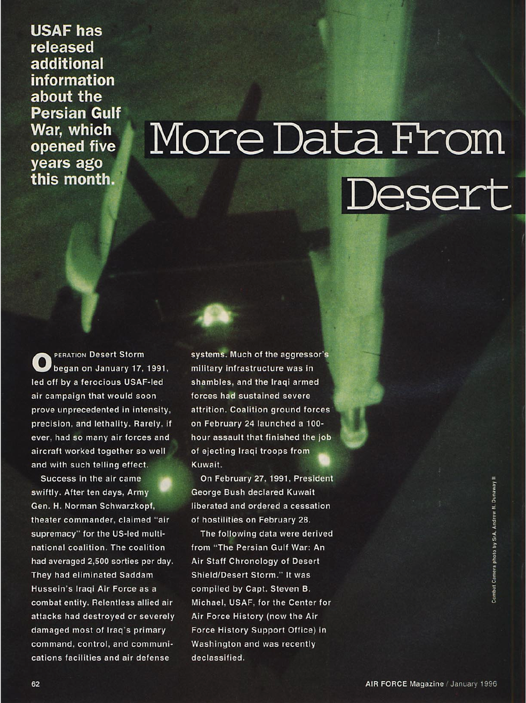USAF has released additional information about the Persian Gulf War, which opened five years ago this month.

# More Data From **Jesert**

**OPERATION Desert Storm began on January 17, 1991, led off by a ferocious USAF-led air campaign that would soon prove unprecedented in intensity, precision, and lethality. Rarely, if ever, had so many air forces and aircraft worked together so well and with such telling effect.**

**Success in the air came swiftly. After ten days, Army Gen. H. Norman Schwarzkopf, theater commander, claimed "air supremacy" for the US-led multinational coalition. The coalition had averaged 2,500 sorties per day. They had eliminated Saddam Hussein's Iraqi Air Force as a combat entity. Relentless allied air attacks had destroyed or severely damaged most of Iraq's primary command, control, and communications facilities and air defense**

**systems. Much of the aggressor's military infrastructure was in shambles, and the Iraqi armed forces had sustained severe attrition. Coalition ground forces on February 24 launched a 100 hour assault that finished the job of ejecting Iraqi troops from Kuwait.**

**On February 27, 1991, President George Bush declared Kuwait liberated and ordered a cessation of hostilities on February 28.**

**The following data were derived from "The Persian Gulf War: An Air Staff Chronology of Desert Shield/Desert Storm." It was compiled by Capt. Steven B. Michael, USAF, for the Center for Air Force History (now the Air Force History Support Office) in Washington and was recently declassified.**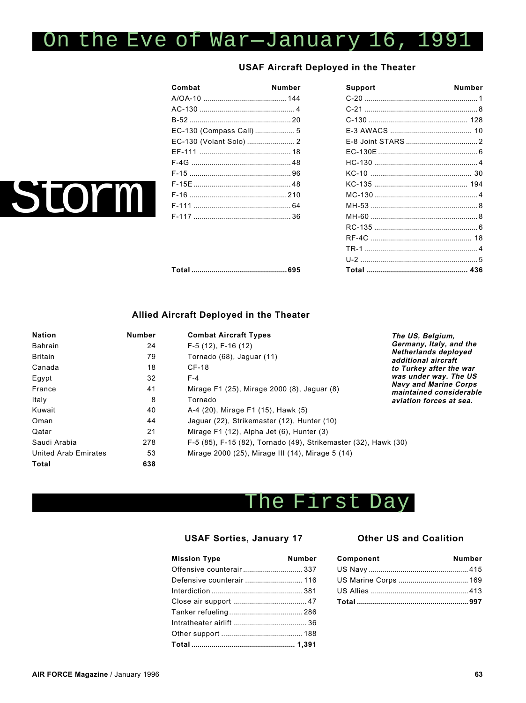## On the Eve of War—January 16, 1991

### **USAF Aircraft Deployed in the Theater**

| Combat                   | Number |
|--------------------------|--------|
|                          |        |
|                          |        |
|                          |        |
| EC-130 (Compass Call)  5 |        |
| EC-130 (Volant Solo)  2  |        |
|                          |        |
|                          |        |
|                          |        |
|                          |        |
|                          |        |
|                          |        |
|                          |        |
|                          |        |

| Combat                  | <b>Number</b> | <b>Support</b> | <b>Number</b> |
|-------------------------|---------------|----------------|---------------|
|                         |               |                |               |
|                         |               |                |               |
|                         |               |                |               |
| EC-130 (Compass Call) 5 |               |                |               |
| EC-130 (Volant Solo)  2 |               |                |               |
|                         |               |                |               |
|                         |               |                |               |
|                         |               |                |               |
|                         |               |                |               |
|                         |               |                |               |
|                         |               |                |               |
|                         |               |                |               |
|                         |               |                |               |
|                         |               |                |               |
|                         |               |                |               |
|                         |               |                |               |
|                         |               |                |               |

### **Allied Aircraft Deployed in the Theater**

| <b>Nation</b>               | <b>Number</b> | <b>Combat Aircraft Types</b>                                    | The US, Belgium,                                        |
|-----------------------------|---------------|-----------------------------------------------------------------|---------------------------------------------------------|
| <b>Bahrain</b>              | 24            | $F-5(12)$ , $F-16(12)$                                          | Germany, Italy, and the                                 |
| <b>Britain</b>              | 79            | Tornado (68), Jaguar (11)                                       | Netherlands deployed<br>additional aircraft             |
| Canada                      | 18            | CF-18                                                           | to Turkey after the war                                 |
| Egypt                       | 32            | $F-4$                                                           | was under way. The US                                   |
| France                      | 41            | Mirage F1 (25), Mirage 2000 (8), Jaguar (8)                     | <b>Navy and Marine Corps</b><br>maintained considerable |
| Italy                       | 8             | Tornado                                                         | aviation forces at sea.                                 |
| Kuwait                      | 40            | A-4 (20), Mirage F1 (15), Hawk (5)                              |                                                         |
| Oman                        | 44            | Jaquar (22), Strikemaster (12), Hunter (10)                     |                                                         |
| Qatar                       | 21            | Mirage $F1(12)$ , Alpha Jet $(6)$ , Hunter $(3)$                |                                                         |
| Saudi Arabia                | 278           | F-5 (85), F-15 (82), Tornado (49), Strikemaster (32), Hawk (30) |                                                         |
| <b>United Arab Emirates</b> | 53            | Mirage 2000 (25), Mirage III (14), Mirage 5 (14)                |                                                         |
| Total                       | 638           |                                                                 |                                                         |

### The First Day

### **USAF Sorties, January 17**

| <b>Mission Type</b>       | <b>Number</b> |
|---------------------------|---------------|
|                           |               |
| Defensive counterair  116 |               |
|                           |               |
|                           |               |
|                           |               |
|                           |               |
|                           |               |
|                           |               |

#### **Other US and Coalition**

| Component | <b>Number</b> |
|-----------|---------------|
|           |               |
|           |               |
|           |               |
|           |               |

torm I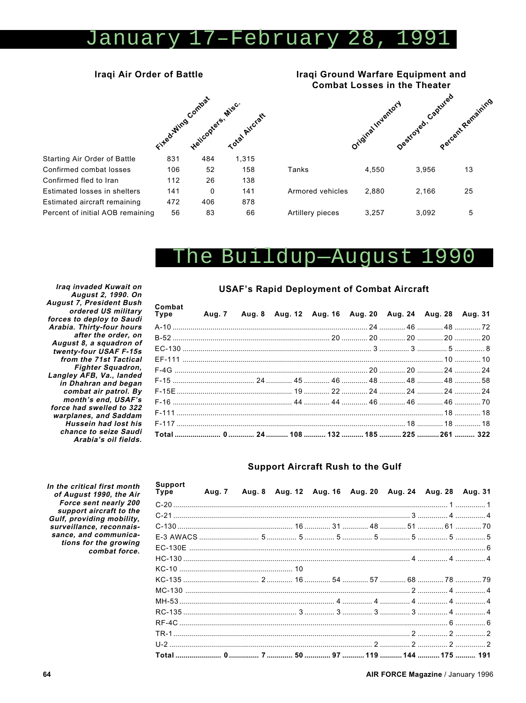#### 17-February 28 anuary  $\mathbf{U}$

### Iraqi Air Order of Battle



Iraqi Ground Warfare Equipment and **Combat Losses in the Theater** Destroyed. Captured Percent Remaining Original Indentory Tanks 4,550 3,956 13 Armored vehicles 2,880 2,166 25

3,257

5

3,092

#### The Buildup--August .990

Artillery pieces

Iraq invaded Kuwait on August 2, 1990. On August 7, President Bush ordered US military forces to deploy to Saudi Arabia. Thirty-four hours after the order, on August 8, a squadron of twenty-four USAF F-15s from the 71st Tactical **Fighter Squadron,** Langley AFB, Va., landed in Dhahran and began combat air patrol. By month's end, USAF's force had swelled to 322 warplanes, and Saddam **Hussein had lost his** chance to seize Saudi

Confirmed combat losses

Confirmed fled to Iran

Arabia's oil fields. In the critical first month of August 1990, the Air Force sent nearly 200 support aircraft to the

### **USAF's Rapid Deployment of Combat Aircraft**

| Combat<br>Type Aug. 7 Aug. 8 Aug. 12 Aug. 16 Aug. 20 Aug. 24 Aug. 28 Aug. 31 |  |  |  |  |
|------------------------------------------------------------------------------|--|--|--|--|
|                                                                              |  |  |  |  |
|                                                                              |  |  |  |  |
|                                                                              |  |  |  |  |
|                                                                              |  |  |  |  |
|                                                                              |  |  |  |  |
|                                                                              |  |  |  |  |
|                                                                              |  |  |  |  |
|                                                                              |  |  |  |  |
|                                                                              |  |  |  |  |
|                                                                              |  |  |  |  |
|                                                                              |  |  |  |  |

#### **Support Aircraft Rush to the Gulf**

| Support<br>Type |  |  | Aug. 7 Aug. 8 Aug. 12 Aug. 16 Aug. 20 Aug. 24 Aug. 28 Aug. 31 |  |  |
|-----------------|--|--|---------------------------------------------------------------|--|--|
|                 |  |  |                                                               |  |  |
|                 |  |  |                                                               |  |  |
|                 |  |  |                                                               |  |  |
|                 |  |  |                                                               |  |  |
|                 |  |  |                                                               |  |  |
|                 |  |  |                                                               |  |  |
|                 |  |  |                                                               |  |  |
|                 |  |  |                                                               |  |  |
|                 |  |  |                                                               |  |  |
|                 |  |  |                                                               |  |  |
|                 |  |  |                                                               |  |  |
|                 |  |  |                                                               |  |  |
|                 |  |  |                                                               |  |  |
|                 |  |  |                                                               |  |  |
|                 |  |  |                                                               |  |  |

Gulf, providing mobility, surveillance, reconnaissance, and communications for the growing combat force.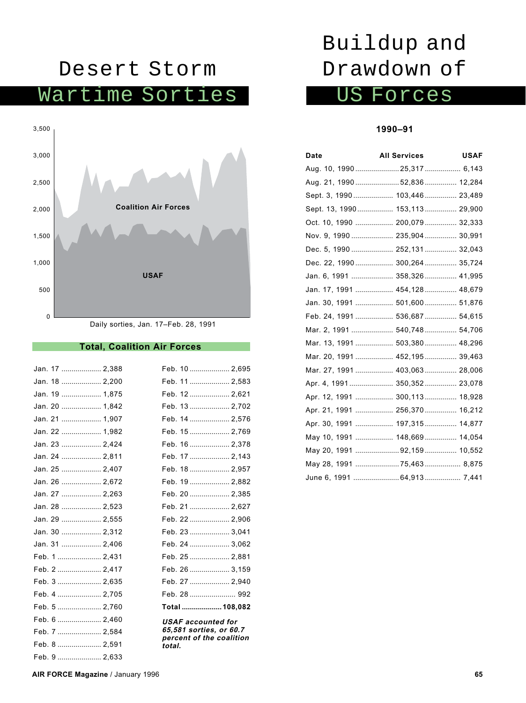### Desert Storm

Wartime Sorties



#### **Total, Coalition Air Forces**

| Jan. 17  2,388 | Feb. 10  2,695                                      |
|----------------|-----------------------------------------------------|
| Jan. 18  2,200 | Feb. 11  2,583                                      |
| Jan. 19  1,875 | Feb. 12  2,621                                      |
| Jan. 20  1,842 | Feb. 13  2,702                                      |
| Jan. 21  1,907 | Feb. 14  2,576                                      |
| Jan. 22  1,982 | Feb. 15  2,769                                      |
| Jan. 23  2,424 | Feb. 16  2,378                                      |
| Jan. 24  2,811 | Feb. 17  2,143                                      |
| Jan. 25  2,407 | Feb. 18  2,957                                      |
| Jan. 26  2,672 | Feb. 19  2,882                                      |
| Jan. 27  2,263 | Feb. 20  2,385                                      |
| Jan. 28  2,523 | Feb. 21  2,627                                      |
| Jan. 29  2,555 | Feb. 22  2,906                                      |
| Jan. 30  2,312 | Feb. 23  3,041                                      |
| Jan. 31  2,406 | Feb. 24  3,062                                      |
| Feb. 1  2,431  | Feb. 25  2,881                                      |
| Feb. 2  2,417  | Feb. 26  3,159                                      |
| Feb. 3  2,635  | Feb. 27  2,940                                      |
| Feb. 4  2,705  |                                                     |
| Feb. 5  2,760  | Total  108,082                                      |
| Feb. 6  2,460  | <b>USAF</b> accounted for                           |
| Feb. 7  2,584  | 65,581 sorties, or 60.7<br>percent of the coalition |
| Feb. 8  2,591  | total.                                              |
| Feb. 9  2,633  |                                                     |

# Buildup and Drawdown of

### US Forces

### **1990–91**

| Date | <b>All Services</b>            | <b>USAF</b> |
|------|--------------------------------|-------------|
|      | Aug. 10, 199025,317 6,143      |             |
|      | Aug. 21, 1990 52,836  12,284   |             |
|      | Sept. 3, 1990 103,446 23,489   |             |
|      | Sept. 13, 1990 153,113 29,900  |             |
|      | Oct. 10, 1990  200,079  32,333 |             |
|      | Nov. 9, 1990 235,904 30,991    |             |
|      | Dec. 5, 1990 252,131 32,043    |             |
|      | Dec. 22, 1990 300,264 35,724   |             |
|      | Jan. 6, 1991  358,326  41,995  |             |
|      | Jan. 17, 1991  454,128  48,679 |             |
|      | Jan. 30, 1991  501,600  51,876 |             |
|      | Feb. 24, 1991 536,687 54,615   |             |
|      | Mar. 2, 1991  540,748  54,706  |             |
|      | Mar. 13, 1991  503,380  48,296 |             |
|      | Mar. 20, 1991  452,195  39,463 |             |
|      | Mar. 27, 1991  403,063  28,006 |             |
|      | Apr. 4, 1991 350,352 23,078    |             |
|      | Apr. 12, 1991  300,113  18,928 |             |
|      | Apr. 21, 1991  256,370  16,212 |             |
|      | Apr. 30, 1991  197,315  14,877 |             |
|      | May 10, 1991  148,669  14,054  |             |
|      | May 20, 1991 92,159  10,552    |             |
|      | May 28, 1991 75,463  8,875     |             |
|      | June 6, 1991  64,913  7,441    |             |